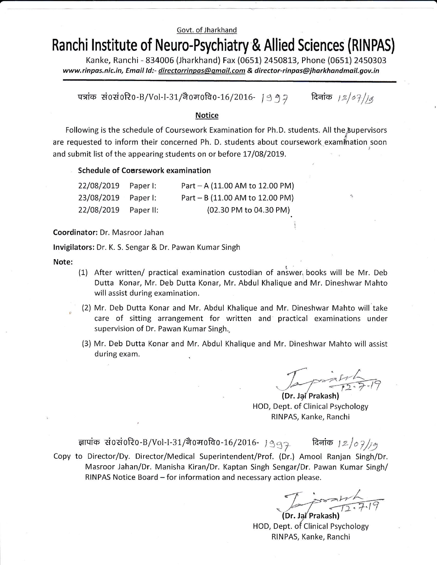#### Govt. of Jharkhand

# Ranchi lnstitute of Neuro-Psychiatry & Allied Sciences (RINPAS)

Kanke, Ranchi - 834006 (Jharkhand) Fax (0651) 2450813, Phone (0651) 2450303 www.rinpas.nic.in, Email Id:- directorrinpas@gmail.com & director-rinpas@jharkhandmail.gov.in

पत्रांक सं0सं0रि0-B/Vol-I-31/नै0म0वि0-16/2016- 19 १२ सिनांक 12/07/14

#### Notice

Following is the schedule of Coursework Examination for Ph.D. students. All the supervisors are requested to inform their concerned Ph. D. students about coursework examination soon and submit list of the appearing students on or before 17/08/2019.

Schedule of Coursework examination

| 22/08/2019 | Paper I:  | Part - A (11.00 AM to 12.00 PM) |
|------------|-----------|---------------------------------|
| 23/08/2019 | Paper I:  | Part - B (11.00 AM to 12.00 PM) |
| 22/08/2019 | Paper II: | (02.30 PM to 04.30 PM)          |

Coordinator: Dr. Masroor Jahan

lnvigilators: Dr. K. S. Sengar & Dr. Pawan Kumar Singh

Note:

- (1) After written/ practical examination custodian of anlwer, books will be Mr. Deb Dutta Konar, Mr. Deb Dutta Konar, Mr. Abdul Khalique and Mr. Dineshwar Mahto will assist during examination.
- (2) Mr. Deb Dutta Konar and Mr. Abdul Khalique and Mr. Dineshwar Mahto will take care of sitting arrangement for written and practical examinations under supervision of Dr. Pawan Kumar Singh.,
- (3) Mr. Deb Dutta Konar and Mr. Abdul Khalique and Mr. Dineshwar Mahto will assist during exam.

 $\mathcal{I}_{\mathbf{a}}$  printing .

(Dr. Jai Prakash) HOD, Dept. of Clinical Psychology RINPAS, Kanke, Ranchi

ज्ञापांक सं0सं0रि0-B/Vol-I-31/नै0म0वि0-16/2016- । ९९२ सिनांक । 2/07/14 Copy to Director/Dy. Director/Medical Superintendent/Prof. (Dr.) Amool Ranjan Singh/Dr. Masroor Jahan/Dr. Manisha Kiran/Dr. Kaptan Singh Sengar/Dr. Pawan Kumar Singh/  $RINPAS$  Notice Board  $-$  for information and necessary action please.

 $P = 117$ (Dr. Jai Prakash)

HOD, Dept. of Clinical Psychology RINPAS, Kanke, Ranchi